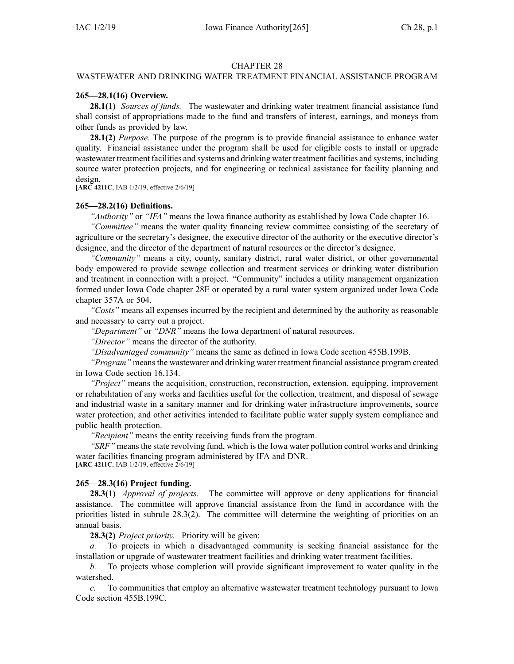### CHAPTER 28

# WASTEWATER AND DRINKING WATER TREATMENT FINANCIAL ASSISTANCE PROGRAM

## **265—28.1(16) Overview.**

**28.1(1)** *Sources of funds.* The wastewater and drinking water treatment financial assistance fund shall consist of appropriations made to the fund and transfers of interest, earnings, and moneys from other funds as provided by law.

**28.1(2)** *Purpose.* The purpose of the program is to provide financial assistance to enhance water quality. Financial assistance under the program shall be used for eligible costs to install or upgrade wastewater treatment facilities and systems and drinking water treatment facilities and systems, including source water protection projects, and for engineering or technical assistance for facility planning and design.

[**ARC [4211C](https://www.legis.iowa.gov/docs/aco/arc/4211C.pdf)**, IAB 1/2/19, effective 2/6/19]

#### **265—28.2(16) Definitions.**

*"Authority"* or *"IFA"* means the Iowa finance authority as established by Iowa Code chapter [16](https://www.legis.iowa.gov/docs/ico/chapter/16.pdf).

*"Committee"* means the water quality financing review committee consisting of the secretary of agriculture or the secretary's designee, the executive director of the authority or the executive director's designee, and the director of the department of natural resources or the director's designee.

*"Community"* means <sup>a</sup> city, county, sanitary district, rural water district, or other governmental body empowered to provide sewage collection and treatment services or drinking water distribution and treatment in connection with <sup>a</sup> project. "Community" includes <sup>a</sup> utility managemen<sup>t</sup> organization formed under Iowa Code chapter [28E](https://www.legis.iowa.gov/docs/ico/chapter/28E.pdf) or operated by <sup>a</sup> rural water system organized under Iowa Code chapter [357A](https://www.legis.iowa.gov/docs/ico/chapter/357A.pdf) or [504](https://www.legis.iowa.gov/docs/ico/chapter/2018/504.pdf).

*"Costs"* means all expenses incurred by the recipient and determined by the authority as reasonable and necessary to carry out <sup>a</sup> project.

*"Department"* or *"DNR"* means the Iowa department of natural resources.

*"Director"* means the director of the authority.

*"Disadvantaged community"* means the same as defined in Iowa Code section [455B.199B](https://www.legis.iowa.gov/docs/ico/section/455B.199B.pdf).

*"Program"* means the wastewater and drinking water treatment financial assistance program created in Iowa Code section [16.134](https://www.legis.iowa.gov/docs/ico/section/16.134.pdf).

*"Project"* means the acquisition, construction, reconstruction, extension, equipping, improvement or rehabilitation of any works and facilities useful for the collection, treatment, and disposal of sewage and industrial waste in <sup>a</sup> sanitary manner and for drinking water infrastructure improvements, source water protection, and other activities intended to facilitate public water supply system compliance and public health protection.

*"Recipient"* means the entity receiving funds from the program.

*"SRF"* means the state revolving fund, which is the Iowa water pollution control works and drinking water facilities financing program administered by IFA and DNR.

[**ARC [4211C](https://www.legis.iowa.gov/docs/aco/arc/4211C.pdf)**, IAB 1/2/19, effective 2/6/19]

## **265—28.3(16) Project funding.**

**28.3(1)** *Approval of projects.* The committee will approve or deny applications for financial assistance. The committee will approve financial assistance from the fund in accordance with the priorities listed in subrule 28.3(2). The committee will determine the weighting of priorities on an annual basis.

**28.3(2)** *Project priority.* Priority will be given:

*a.* To projects in which <sup>a</sup> disadvantaged community is seeking financial assistance for the installation or upgrade of wastewater treatment facilities and drinking water treatment facilities.

*b.* To projects whose completion will provide significant improvement to water quality in the watershed.

*c.* To communities that employ an alternative wastewater treatment technology pursuan<sup>t</sup> to Iowa Code section [455B.199C](https://www.legis.iowa.gov/docs/ico/section/455B.199C.pdf).